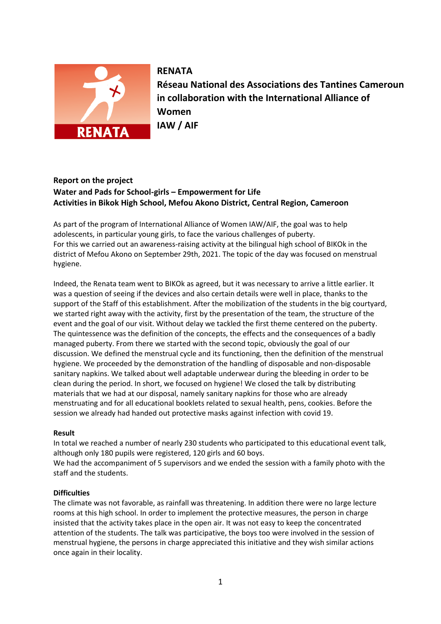

# **RENATA**

**Réseau National des Associations des Tantines Cameroun in collaboration with the International Alliance of Women IAW / AIF**

## **Report on the project Water and Pads for School-girls – Empowerment for Life Activities in Bikok High School, Mefou Akono District, Central Region, Cameroon**

As part of the program of International Alliance of Women IAW/AIF, the goal was to help adolescents, in particular young girls, to face the various challenges of puberty. For this we carried out an awareness-raising activity at the bilingual high school of BIKOk in the district of Mefou Akono on September 29th, 2021. The topic of the day was focused on menstrual hygiene.

Indeed, the Renata team went to BIKOk as agreed, but it was necessary to arrive a little earlier. It was a question of seeing if the devices and also certain details were well in place, thanks to the support of the Staff of this establishment. After the mobilization of the students in the big courtyard, we started right away with the activity, first by the presentation of the team, the structure of the event and the goal of our visit. Without delay we tackled the first theme centered on the puberty. The quintessence was the definition of the concepts, the effects and the consequences of a badly managed puberty. From there we started with the second topic, obviously the goal of our discussion. We defined the menstrual cycle and its functioning, then the definition of the menstrual hygiene. We proceeded by the demonstration of the handling of disposable and non-disposable sanitary napkins. We talked about well adaptable underwear during the bleeding in order to be clean during the period. In short, we focused on hygiene! We closed the talk by distributing materials that we had at our disposal, namely sanitary napkins for those who are already menstruating and for all educational booklets related to sexual health, pens, cookies. Before the session we already had handed out protective masks against infection with covid 19.

### **Result**

In total we reached a number of nearly 230 students who participated to this educational event talk, although only 180 pupils were registered, 120 girls and 60 boys.

We had the accompaniment of 5 supervisors and we ended the session with a family photo with the staff and the students.

#### **Difficulties**

The climate was not favorable, as rainfall was threatening. In addition there were no large lecture rooms at this high school. In order to implement the protective measures, the person in charge insisted that the activity takes place in the open air. It was not easy to keep the concentrated attention of the students. The talk was participative, the boys too were involved in the session of menstrual hygiene, the persons in charge appreciated this initiative and they wish similar actions once again in their locality.